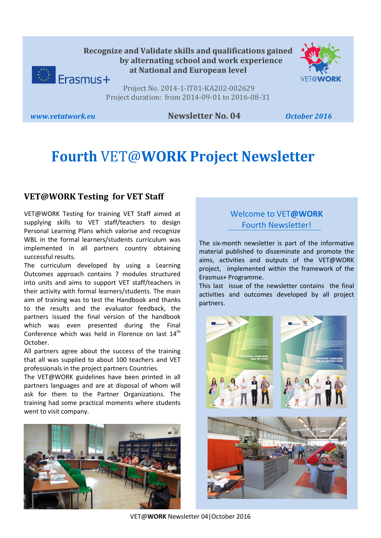



Project No. 2014-1-IT01-KA202-002629 Project duration: from 2014-09-01 to 2016-08-31

### *www.vetatwork.eu* **Newsletter No. 04** *October 2016*

# **Fourth** VET@**WORK Project Newsletter**

## **VET@WORK Testing for VET Staff**

VET@WORK Testing for training VET Staff aimed at supplying skills to VET staff/teachers to design Personal Learning Plans which valorise and recognize WBL in the formal learners/students curriculum was implemented in all partners country obtaining successful results.

The curriculum developed by using a Learning Outcomes approach contains 7 modules structured into units and aims to support VET staff/teachers in their activity with formal learners/students. The main aim of training was to test the Handbook and thanks to the results and the evaluator feedback, the partners issued the final version of the handbook which was even presented during the Final Conference which was held in Florence on last  $14<sup>th</sup>$ October.

All partners agree about the success of the training that all was supplied to about 100 teachers and VET professionals in the project partners Countries.

The VET@WORK guidelines have been printed in all partners languages and are at disposal of whom will ask for them to the Partner Organizations. The training had some practical moments where students went to visit company.



# Welcome to VET**@WORK** Fourth Newsletter!

The six-month newsletter is part of the informative material published to disseminate and promote the aims, activities and outputs of the VET@WORK project, implemented within the framework of the Erasmus+ Programme.

This last issue of the newsletter contains the final activities and outcomes developed by all project partners.

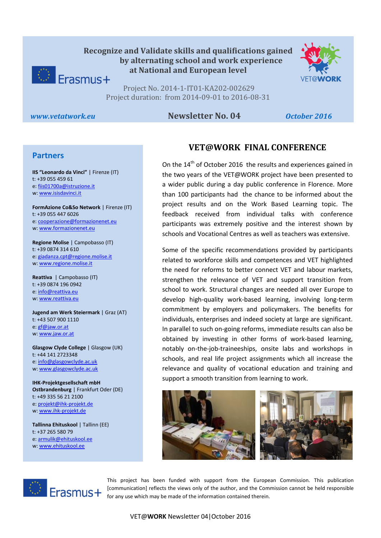



Project No. 2014-1-IT01-KA202-002629 Project duration: from 2014-09-01 to 2016-08-31

#### *www.vetatwork.eu* **Newsletter No. 04** *October 2016*

#### **Partners**

w[: www.isisdavinci.it](http://www.isisdavinci.it/) **IIS "Leonardo da Vinci"** | Firenze (IT) t: +39 055 459 61 e[: fiis01700a@istruzione.it](mailto:fiis01700a@istruzione.it)

**FormAzione Co&So Network** | Firenze (IT) t: +39 055 447 6026 e[: cooperazione@formazionenet.eu](mailto:cooperazione@formazionenet.eu) w[: www.formazionenet.eu](http://www.formazionenet.eu/)

**Regione Molise** | Campobasso (IT) t: +39 0874 314 610 e[: giadanza.cpt@regione.molise.it](mailto:giadanza.cpt@regione.molise.it) w[: www.regione.molise.it](http://www.regione.molise.it/)

**Reattiva** | Campobasso (IT) t: +39 0874 196 0942 e[: info@reattiva.eu](mailto:info@reattiva.eu) w[: www.reattiva.eu](http://www.reattiva.eu/)

**Jugend am Werk Steiermark** | Graz (AT) t: +43 507 900 1110 e[: gf@jaw.or.at](mailto:gf@jaw.or.at) w[: www.jaw.or.at](http://www.jaw.or.at/)

**Glasgow Clyde College** | Glasgow (UK) t: +44 141 2723348 e[: info@glasgowclyde.ac.uk](mailto:info@glasgowclyde.ac.uk) w[: www.glasgowclyde.ac.uk](http://www.glasgowclyde.ac.uk/) 

**IHK-Projektgesellschaft mbH Ostbrandenburg** | Frankfurt Oder (DE) t: +49 335 56 21 2100 e[: projekt@ihk-projekt.de](mailto:projekt@ihk-projekt.de) w[: www.ihk-projekt.de](http://www.ihk-projekt.de/)

**Tallinna Ehituskool** | Tallinn (EE) t: +37 265 580 79 e[: armulik@ehituskool.ee](mailto:armulik@ehituskool.ee) w[: www.ehituskool.ee](http://www.ehituskool.ee/)

# **VET@WORK FINAL CONFERENCE**

On the 14<sup>th</sup> of October 2016 the results and experiences gained in the two years of the VET@WORK project have been presented to a wider public during a day public conference in Florence. More than 100 participants had the chance to be informed about the project results and on the Work Based Learning topic. The feedback received from individual talks with conference participants was extremely positive and the interest shown by schools and Vocational Centres as well as teachers was extensive.

Some of the specific recommendations provided by participants related to workforce skills and competences and VET highlighted the need for reforms to better connect VET and labour markets, strengthen the relevance of VET and support transition from school to work. Structural changes are needed all over Europe to develop high-quality work-based learning, involving long-term commitment by employers and policymakers. The benefits for individuals, enterprises and indeed society at large are significant. In parallel to such on-going reforms, immediate results can also be obtained by investing in other forms of work-based learning, notably on-the-job-traineeships, onsite labs and workshops in schools, and real life project assignments which all increase the relevance and quality of vocational education and training and support a smooth transition from learning to work.





This project has been funded with support from the European Commission. This publication [communication] reflects the views only of the author, and the Commission cannot be held responsible for any use which may be made of the information contained therein.